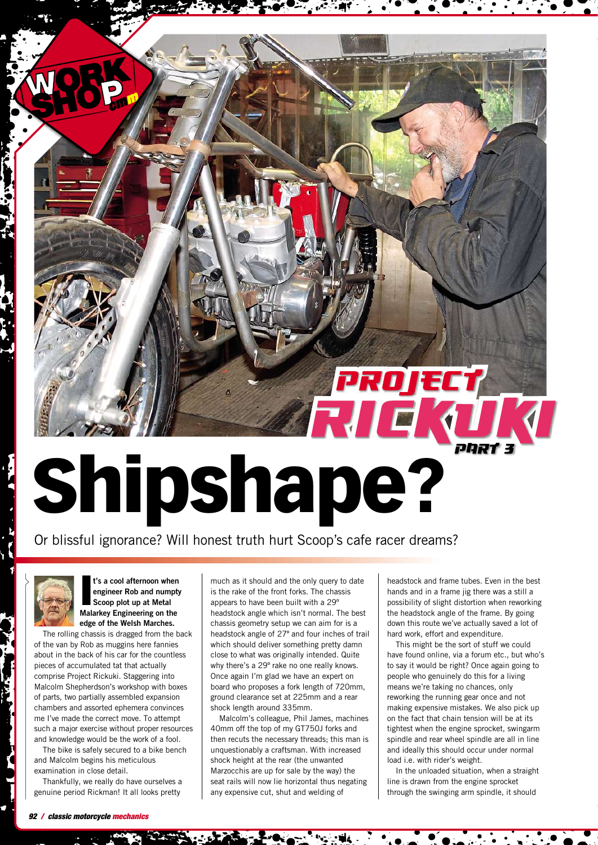## **C. All Construction**

Or blissful ignorance? Will honest truth hurt Scoop's cafe racer dreams?



**I t's a cool afternoon when engineer Rob and numpty Scoop plot up at Metal Malarkey Engineering on the edge of the Welsh Marches.**

The rolling chassis is dragged from the back of the van by Rob as muggins here fannies about in the back of his car for the countless pieces of accumulated tat that actually comprise Project Rickuki. Staggering into Malcolm Shepherdson's workshop with boxes of parts, two partially assembled expansion chambers and assorted ephemera convinces me I've made the correct move. To attempt such a major exercise without proper resources and knowledge would be the work of a fool.

The bike is safely secured to a bike bench and Malcolm begins his meticulous examination in close detail.

Thankfully, we really do have ourselves a genuine period Rickman! It all looks pretty

much as it should and the only query to date is the rake of the front forks. The chassis appears to have been built with a 29º headstock angle which isn't normal. The best chassis geometry setup we can aim for is a headstock angle of 27º and four inches of trail which should deliver something pretty damn close to what was originally intended. Quite why there's a 29º rake no one really knows. Once again I'm glad we have an expert on board who proposes a fork length of 720mm, ground clearance set at 225mm and a rear shock length around 335mm.

Malcolm's colleague, Phil James, machines 40mm off the top of my GT750J forks and then recuts the necessary threads; this man is unquestionably a craftsman. With increased shock height at the rear (the unwanted Marzocchis are up for sale by the way) the seat rails will now lie horizontal thus negating any expensive cut, shut and welding of

headstock and frame tubes. Even in the best hands and in a frame jig there was a still a possibility of slight distortion when reworking the headstock angle of the frame. By going down this route we've actually saved a lot of hard work, effort and expenditure.

This might be the sort of stuff we could have found online, via a forum etc., but who's to say it would be right? Once again going to people who genuinely do this for a living means we're taking no chances, only reworking the running gear once and not making expensive mistakes. We also pick up on the fact that chain tension will be at its tightest when the engine sprocket, swingarm spindle and rear wheel spindle are all in line and ideally this should occur under normal load i.e. with rider's weight.

In the unloaded situation, when a straight line is drawn from the engine sprocket through the swinging arm spindle, it should